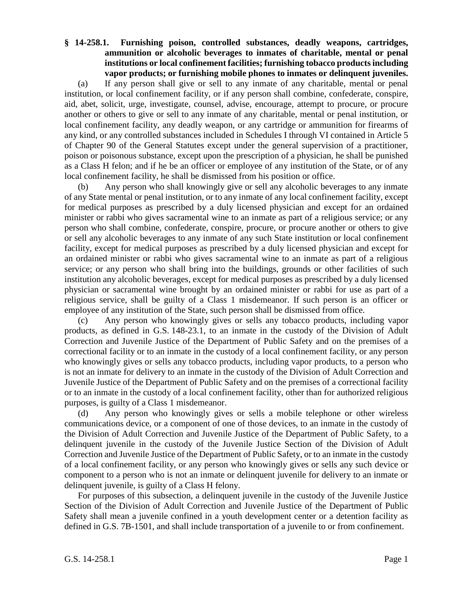## **§ 14-258.1. Furnishing poison, controlled substances, deadly weapons, cartridges, ammunition or alcoholic beverages to inmates of charitable, mental or penal institutions or local confinement facilities; furnishing tobacco products including vapor products; or furnishing mobile phones to inmates or delinquent juveniles.**

(a) If any person shall give or sell to any inmate of any charitable, mental or penal institution, or local confinement facility, or if any person shall combine, confederate, conspire, aid, abet, solicit, urge, investigate, counsel, advise, encourage, attempt to procure, or procure another or others to give or sell to any inmate of any charitable, mental or penal institution, or local confinement facility, any deadly weapon, or any cartridge or ammunition for firearms of any kind, or any controlled substances included in Schedules I through VI contained in Article 5 of Chapter 90 of the General Statutes except under the general supervision of a practitioner, poison or poisonous substance, except upon the prescription of a physician, he shall be punished as a Class H felon; and if he be an officer or employee of any institution of the State, or of any local confinement facility, he shall be dismissed from his position or office.

(b) Any person who shall knowingly give or sell any alcoholic beverages to any inmate of any State mental or penal institution, or to any inmate of any local confinement facility, except for medical purposes as prescribed by a duly licensed physician and except for an ordained minister or rabbi who gives sacramental wine to an inmate as part of a religious service; or any person who shall combine, confederate, conspire, procure, or procure another or others to give or sell any alcoholic beverages to any inmate of any such State institution or local confinement facility, except for medical purposes as prescribed by a duly licensed physician and except for an ordained minister or rabbi who gives sacramental wine to an inmate as part of a religious service; or any person who shall bring into the buildings, grounds or other facilities of such institution any alcoholic beverages, except for medical purposes as prescribed by a duly licensed physician or sacramental wine brought by an ordained minister or rabbi for use as part of a religious service, shall be guilty of a Class 1 misdemeanor. If such person is an officer or employee of any institution of the State, such person shall be dismissed from office.

(c) Any person who knowingly gives or sells any tobacco products, including vapor products, as defined in G.S. 148-23.1, to an inmate in the custody of the Division of Adult Correction and Juvenile Justice of the Department of Public Safety and on the premises of a correctional facility or to an inmate in the custody of a local confinement facility, or any person who knowingly gives or sells any tobacco products, including vapor products, to a person who is not an inmate for delivery to an inmate in the custody of the Division of Adult Correction and Juvenile Justice of the Department of Public Safety and on the premises of a correctional facility or to an inmate in the custody of a local confinement facility, other than for authorized religious purposes, is guilty of a Class 1 misdemeanor.

(d) Any person who knowingly gives or sells a mobile telephone or other wireless communications device, or a component of one of those devices, to an inmate in the custody of the Division of Adult Correction and Juvenile Justice of the Department of Public Safety, to a delinquent juvenile in the custody of the Juvenile Justice Section of the Division of Adult Correction and Juvenile Justice of the Department of Public Safety, or to an inmate in the custody of a local confinement facility, or any person who knowingly gives or sells any such device or component to a person who is not an inmate or delinquent juvenile for delivery to an inmate or delinquent juvenile, is guilty of a Class H felony.

For purposes of this subsection, a delinquent juvenile in the custody of the Juvenile Justice Section of the Division of Adult Correction and Juvenile Justice of the Department of Public Safety shall mean a juvenile confined in a youth development center or a detention facility as defined in G.S. 7B-1501, and shall include transportation of a juvenile to or from confinement.